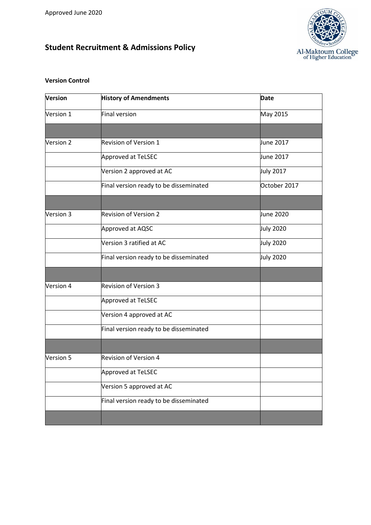# **Student Recruitment & Admissions Policy**



### **Version Control**

| <b>Version</b> | <b>History of Amendments</b>           | <b>Date</b>      |
|----------------|----------------------------------------|------------------|
| Version 1      | Final version                          | May 2015         |
|                |                                        |                  |
| Version 2      | <b>Revision of Version 1</b>           | June 2017        |
|                | Approved at TeLSEC                     | June 2017        |
|                | Version 2 approved at AC               | <b>July 2017</b> |
|                | Final version ready to be disseminated | October 2017     |
|                |                                        |                  |
| Version 3      | <b>Revision of Version 2</b>           | June 2020        |
|                | Approved at AQSC                       | <b>July 2020</b> |
|                | Version 3 ratified at AC               | <b>July 2020</b> |
|                | Final version ready to be disseminated | <b>July 2020</b> |
|                |                                        |                  |
| Version 4      | <b>Revision of Version 3</b>           |                  |
|                | Approved at TeLSEC                     |                  |
|                | Version 4 approved at AC               |                  |
|                | Final version ready to be disseminated |                  |
|                |                                        |                  |
| Version 5      | <b>Revision of Version 4</b>           |                  |
|                | Approved at TeLSEC                     |                  |
|                | Version 5 approved at AC               |                  |
|                | Final version ready to be disseminated |                  |
|                |                                        |                  |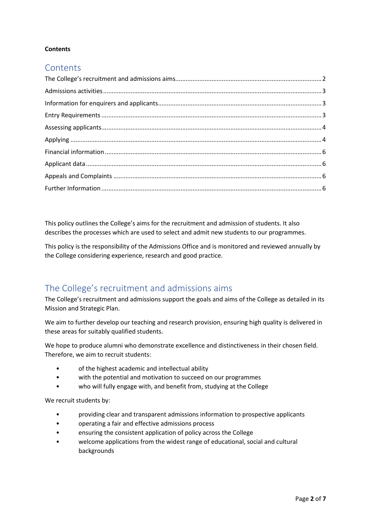#### **Contents**

### **Contents**

This policy outlines the College's aims for the recruitment and admission of students. It also describes the processes which are used to select and admit new students to our programmes.

This policy is the responsibility of the Admissions Office and is monitored and reviewed annually by the College considering experience, research and good practice.

## <span id="page-1-0"></span>The College's recruitment and admissions aims

The College's recruitment and admissions support the goals and aims of the College as detailed in its Mission and Strategic Plan.

We aim to further develop our teaching and research provision, ensuring high quality is delivered in these areas for suitably qualified students.

We hope to produce alumni who demonstrate excellence and distinctiveness in their chosen field. Therefore, we aim to recruit students:

- of the highest academic and intellectual ability
- with the potential and motivation to succeed on our programmes
- who will fully engage with, and benefit from, studying at the College

We recruit students by:

- providing clear and transparent admissions information to prospective applicants
- operating a fair and effective admissions process
- ensuring the consistent application of policy across the College
- welcome applications from the widest range of educational, social and cultural backgrounds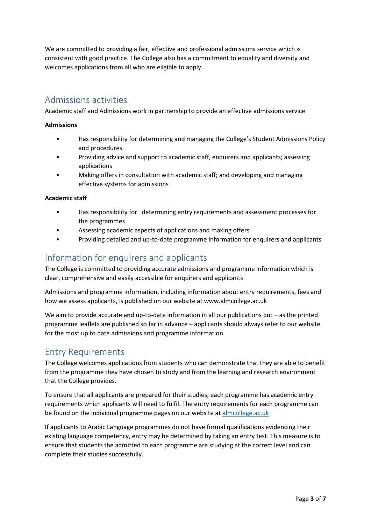We are committed to providing a fair, effective and professional admissions service which is consistent with good practice. The College also has a commitment to equality and diversity and welcomes applications from all who are eligible to apply.

### <span id="page-2-0"></span>Admissions activities

Academic staff and Admissions work in partnership to provide an effective admissions service

#### **Admissions**

- Has responsibility for determining and managing the College's Student Admissions Policy and procedures
- Providing advice and support to academic staff, enquirers and applicants; assessing applications
- Making offers in consultation with academic staff; and developing and managing effective systems for admissions

#### **Academic staff**

- Has responsibility for determining entry requirements and assessment processes for the programmes
- Assessing academic aspects of applications and making offers
- Providing detailed and up-to-date programme information for enquirers and applicants

## <span id="page-2-1"></span>Information for enquirers and applicants

The College is committed to providing accurate admissions and programme information which is clear, comprehensive and easily accessible for enquirers and applicants

Admissions and programme information, including information about entry requirements, fees and how we assess applicants, is published on our website at www.almcollege.ac.uk

We aim to provide accurate and up-to-date information in all our publications but – as the printed programme leaflets are published so far in advance – applicants should always refer to our website for the most up to date admissions and programme information

### <span id="page-2-2"></span>Entry Requirements

The College welcomes applications from students who can demonstrate that they are able to benefit from the programme they have chosen to study and from the learning and research environment that the College provides.

To ensure that all applicants are prepared for their studies, each programme has academic entry requirements which applicants will need to fulfil. The entry requirements for each programme can be found on the individual programme pages on our website at [almcollege.ac.uk](http://www.almcollege.ac.uk/)

If applicants to Arabic Language programmes do not have formal qualifications evidencing their existing language competency, entry may be determined by taking an entry test. This measure is to ensure that students the admitted to each programme are studying at the correct level and can complete their studies successfully.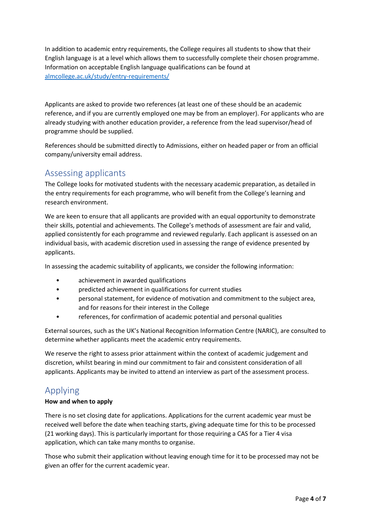In addition to academic entry requirements, the College requires all students to show that their English language is at a level which allows them to successfully complete their chosen programme. Information on acceptable English language qualifications can be found at [almcollege.ac.uk/study/entry-requirements/](http://www.almcollege.ac.uk/study/entry-requirements/)

Applicants are asked to provide two references (at least one of these should be an academic reference, and if you are currently employed one may be from an employer). For applicants who are already studying with another education provider, a reference from the lead supervisor/head of programme should be supplied.

References should be submitted directly to Admissions, either on headed paper or from an official company/university email address.

## <span id="page-3-0"></span>Assessing applicants

The College looks for motivated students with the necessary academic preparation, as detailed in the entry requirements for each programme, who will benefit from the College's learning and research environment.

We are keen to ensure that all applicants are provided with an equal opportunity to demonstrate their skills, potential and achievements. The College's methods of assessment are fair and valid, applied consistently for each programme and reviewed regularly. Each applicant is assessed on an individual basis, with academic discretion used in assessing the range of evidence presented by applicants.

In assessing the academic suitability of applicants, we consider the following information:

- achievement in awarded qualifications
- predicted achievement in qualifications for current studies
- personal statement, for evidence of motivation and commitment to the subject area, and for reasons for their interest in the College
- references, for confirmation of academic potential and personal qualities

External sources, such as the UK's National Recognition Information Centre (NARIC), are consulted to determine whether applicants meet the academic entry requirements.

We reserve the right to assess prior attainment within the context of academic judgement and discretion, whilst bearing in mind our commitment to fair and consistent consideration of all applicants. Applicants may be invited to attend an interview as part of the assessment process.

## <span id="page-3-1"></span>Applying

#### **How and when to apply**

There is no set closing date for applications. Applications for the current academic year must be received well before the date when teaching starts, giving adequate time for this to be processed (21 working days). This is particularly important for those requiring a CAS for a Tier 4 visa application, which can take many months to organise.

Those who submit their application without leaving enough time for it to be processed may not be given an offer for the current academic year.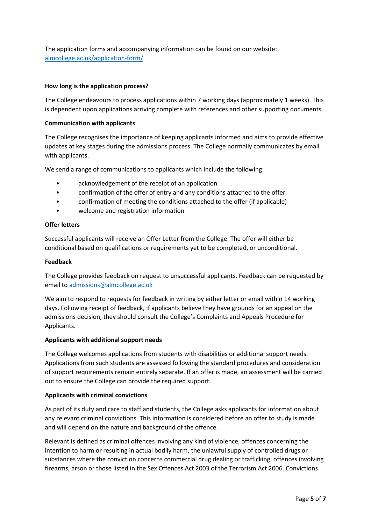The application forms and accompanying information can be found on our website: [almcollege.ac.uk/application-form/](https://www.almcollege.ac.uk/application-form/)

#### **How long is the application process?**

The College endeavours to process applications within 7 working days (approximately 1 weeks). This is dependent upon applications arriving complete with references and other supporting documents.

#### **Communication with applicants**

The College recognises the importance of keeping applicants informed and aims to provide effective updates at key stages during the admissions process. The College normally communicates by email with applicants.

We send a range of communications to applicants which include the following:

- acknowledgement of the receipt of an application
- confirmation of the offer of entry and any conditions attached to the offer
- confirmation of meeting the conditions attached to the offer (if applicable)
- welcome and registration information

#### **Offer letters**

Successful applicants will receive an Offer Letter from the College. The offer will either be conditional based on qualifications or requirements yet to be completed, or unconditional.

#### **Feedback**

The College provides feedback on request to unsuccessful applicants. Feedback can be requested by email to [admissions@almcollege.ac.uk](mailto:admissions@almcollege.ac.uk)

We aim to respond to requests for feedback in writing by either letter or email within 14 working days. Following receipt of feedback, if applicants believe they have grounds for an appeal on the admissions decision, they should consult the College's Complaints and Appeals Procedure for Applicants.

#### **Applicants with additional support needs**

The College welcomes applications from students with disabilities or additional support needs. Applications from such students are assessed following the standard procedures and consideration of support requirements remain entirely separate. If an offer is made, an assessment will be carried out to ensure the College can provide the required support.

#### **Applicants with criminal convictions**

As part of its duty and care to staff and students, the College asks applicants for information about any relevant criminal convictions. This information is considered before an offer to study is made and will depend on the nature and background of the offence.

Relevant is defined as criminal offences involving any kind of violence, offences concerning the intention to harm or resulting in actual bodily harm, the unlawful supply of controlled drugs or substances where the conviction concerns commercial drug dealing or trafficking, offences involving firearms, arson or those listed in the Sex Offences Act 2003 of the Terrorism Act 2006. Convictions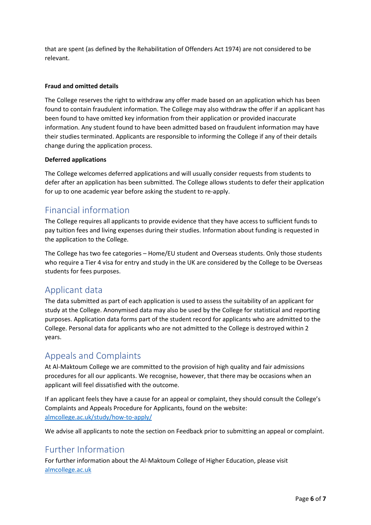that are spent (as defined by the Rehabilitation of Offenders Act 1974) are not considered to be relevant.

#### **Fraud and omitted details**

The College reserves the right to withdraw any offer made based on an application which has been found to contain fraudulent information. The College may also withdraw the offer if an applicant has been found to have omitted key information from their application or provided inaccurate information. Any student found to have been admitted based on fraudulent information may have their studies terminated. Applicants are responsible to informing the College if any of their details change during the application process.

#### **Deferred applications**

The College welcomes deferred applications and will usually consider requests from students to defer after an application has been submitted. The College allows students to defer their application for up to one academic year before asking the student to re-apply.

### <span id="page-5-0"></span>Financial information

The College requires all applicants to provide evidence that they have access to sufficient funds to pay tuition fees and living expenses during their studies. Information about funding is requested in the application to the College.

The College has two fee categories – Home/EU student and Overseas students. Only those students who require a Tier 4 visa for entry and study in the UK are considered by the College to be Overseas students for fees purposes.

## <span id="page-5-1"></span>Applicant data

The data submitted as part of each application is used to assess the suitability of an applicant for study at the College. Anonymised data may also be used by the College for statistical and reporting purposes. Application data forms part of the student record for applicants who are admitted to the College. Personal data for applicants who are not admitted to the College is destroyed within 2 years.

## <span id="page-5-2"></span>Appeals and Complaints

At Al-Maktoum College we are committed to the provision of high quality and fair admissions procedures for all our applicants. We recognise, however, that there may be occasions when an applicant will feel dissatisfied with the outcome.

If an applicant feels they have a cause for an appeal or complaint, they should consult the College's Complaints and Appeals Procedure for Applicants, found on the website: [almcollege.ac.uk/study/how-to-apply/](https://www.almcollege.ac.uk/study/how-to-apply/)

We advise all applicants to note the section on Feedback prior to submitting an appeal or complaint.

### <span id="page-5-3"></span>Further Information

For further information about the Al-Maktoum College of Higher Education, please visit [almcollege.ac.uk](http://www.almcollege.ac.uk/)